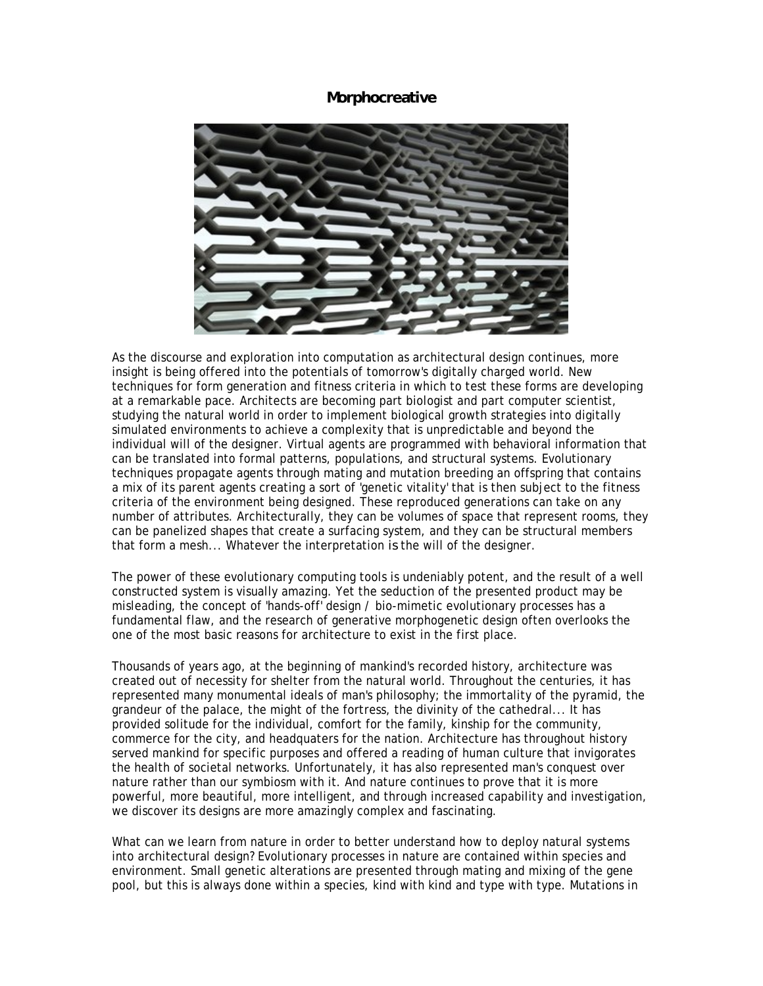## **Morphocreative**



As the discourse and exploration into computation as architectural design continues, more insight is being offered into the potentials of tomorrow's digitally charged world. New techniques for form generation and fitness criteria in which to test these forms are developing at a remarkable pace. Architects are becoming part biologist and part computer scientist, studying the natural world in order to implement biological growth strategies into digitally simulated environments to achieve a complexity that is unpredictable and beyond the individual will of the designer. Virtual agents are programmed with behavioral information that can be translated into formal patterns, populations, and structural systems. Evolutionary techniques propagate agents through mating and mutation breeding an offspring that contains a mix of its parent agents creating a sort of 'genetic vitality' that is then subject to the fitness criteria of the environment being designed. These reproduced generations can take on any number of attributes. Architecturally, they can be volumes of space that represent rooms, they can be panelized shapes that create a surfacing system, and they can be structural members that form a mesh... Whatever the interpretation *is* the will of the designer.

The power of these evolutionary computing tools is undeniably potent, and the result of a well constructed system is visually amazing. Yet the seduction of the presented product may be misleading, the concept of 'hands-off' design / bio-mimetic evolutionary processes has a fundamental flaw, and the research of generative morphogenetic design often overlooks the one of the most basic reasons for architecture to exist in the first place.

Thousands of years ago, at the beginning of mankind's recorded history, architecture was created out of necessity for shelter from the natural world. Throughout the centuries, it has represented many monumental ideals of man's philosophy; the immortality of the pyramid, the grandeur of the palace, the might of the fortress, the divinity of the cathedral... It has provided solitude for the individual, comfort for the family, kinship for the community, commerce for the city, and headquaters for the nation. Architecture has throughout history served mankind for specific purposes and offered a reading of human culture that invigorates the health of societal networks. Unfortunately, it has also represented man's conquest over nature rather than our symbiosm with it. And nature continues to prove that it is more powerful, more beautiful, more intelligent, and through increased capability and investigation, we discover its designs are more amazingly complex and fascinating.

What can we learn from nature in order to better understand how to deploy natural systems into architectural design? Evolutionary processes in nature are contained within species and environment. Small genetic alterations are presented through mating and mixing of the gene pool, but this is always done within a species, kind with kind and type with type. Mutations in